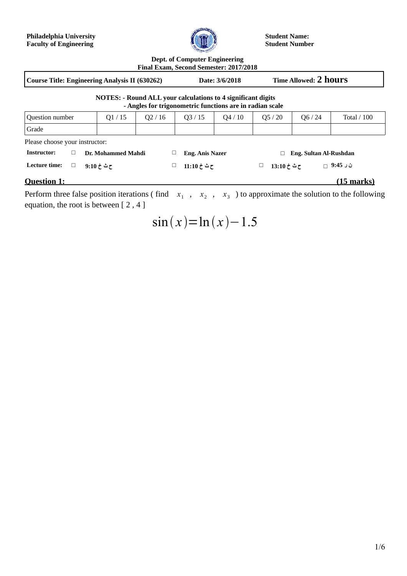**Philadelphia University Faculty of Engineering**



**Student Name: Student Number**

**Dept. of Computer Engineering**

| Final Exam, Second Semester: 2017/2018                                                                                          |                         |       |            |                        |       |                             |                       |                  |              |            |
|---------------------------------------------------------------------------------------------------------------------------------|-------------------------|-------|------------|------------------------|-------|-----------------------------|-----------------------|------------------|--------------|------------|
| <b>Course Title: Engineering Analysis II (630262)</b>                                                                           |                         |       |            | Date: 3/6/2018         |       |                             | Time Allowed: 2 hours |                  |              |            |
| <b>NOTES: - Round ALL your calculations to 4 significant digits</b><br>- Angles for trigonometric functions are in radian scale |                         |       |            |                        |       |                             |                       |                  |              |            |
| <b>Question number</b>                                                                                                          |                         | Q1/15 | Q2/16      |                        | Q3/15 | Q4/10                       | Q5/20                 | Q6 / 24          | Total $/100$ |            |
| Grade                                                                                                                           |                         |       |            |                        |       |                             |                       |                  |              |            |
| Please choose your instructor:                                                                                                  |                         |       |            |                        |       |                             |                       |                  |              |            |
| Instructor:                                                                                                                     | □<br>Dr. Mohammed Mahdi |       |            | <b>Eng. Anis Nazer</b> |       | Eng. Sultan Al-Rushdan<br>□ |                       |                  |              |            |
| Lecture time:                                                                                                                   | $\Box$                  |       | ح ٹ خ 9:10 |                        |       | ح ٹ خ 11:10                 |                       | ح ٹ خ 13:10<br>ப |              | ن ر 9:45 ⊣ |
| Question 1:                                                                                                                     |                         |       |            |                        |       |                             |                       |                  |              | (15 marks) |

Perform three false position iterations (find  $x_1$ ,  $x_2$ ,  $x_3$ ) to approximate the solution to the following equation, the root is between [ 2 , 4 ]

 $\sin(x) = \ln(x) - 1.5$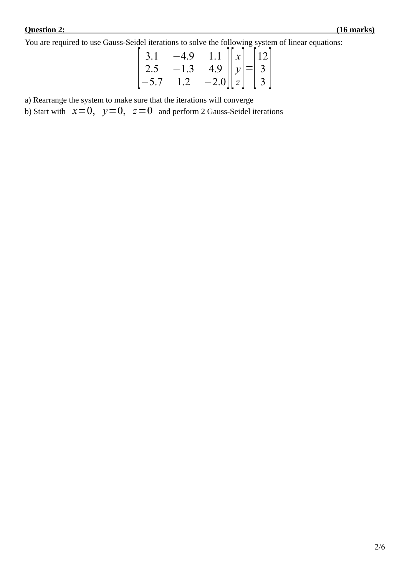You are required to use Gauss-Seidel iterations to solve the following system of linear equations:

$$
\begin{bmatrix} 3.1 & -4.9 & 1.1 \ 2.5 & -1.3 & 4.9 \ -5.7 & 1.2 & -2.0 \ \end{bmatrix} \begin{bmatrix} x \ y \ z \end{bmatrix} = \begin{bmatrix} 12 \ 3 \ 3 \end{bmatrix}
$$

a) Rearrange the system to make sure that the iterations will converge

b) Start with  $x=0$ ,  $y=0$ ,  $z=0$  and perform 2 Gauss-Seidel iterations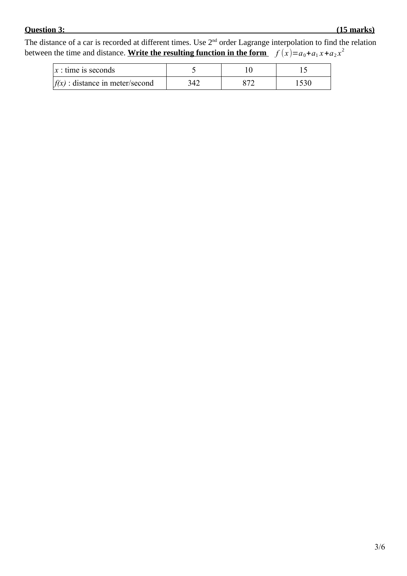## **Question 3: (15 marks)**

The distance of a car is recorded at different times. Use  $2<sup>nd</sup>$  order Lagrange interpolation to find the relation between the time and distance. <u>Write the resulting function in the form  $f(x)=a_0+a_1x+a_2x^2$ </u>

| $x:$ time is seconds                |     |  |
|-------------------------------------|-----|--|
| $ f(x) $ : distance in meter/second | 342 |  |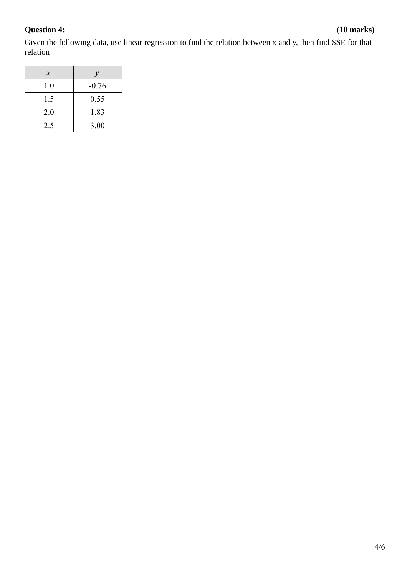## **Question 4: (10 marks)**

Given the following data, use linear regression to find the relation between x and y, then find SSE for that relation

| $\mathcal{X}$ | $\mathcal V$ |
|---------------|--------------|
| 1.0           | $-0.76$      |
| 1.5           | 0.55         |
| 2.0           | 1.83         |
| 2.5           | 3.00         |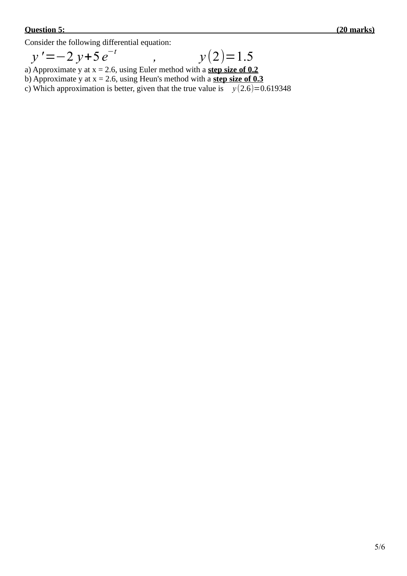Consider the following differential equation:

$$
y' = -2 y + 5 e^{-t} \qquad , \qquad y(2) = 1.5
$$

a) Approximate y at x = 2.6, using Euler method with a **step size of 0.2**

b) Approximate y at  $x = 2.6$ , using Heun's method with a **step size of 0.3** 

c) Which approximation is better, given that the true value is  $y(2.6)=0.619348$